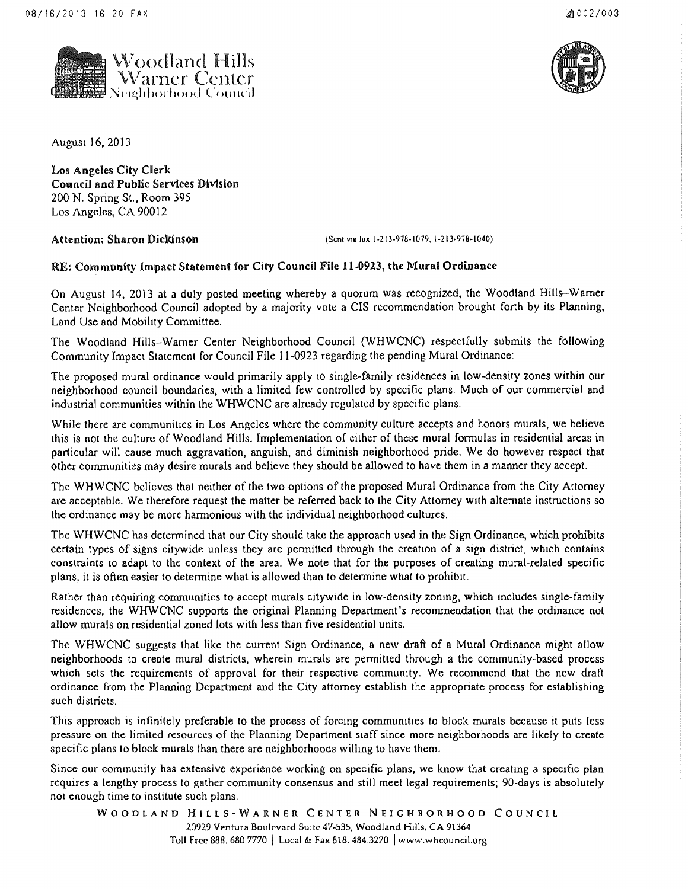



August 16, 2013

Los Angeles City Clerk Council and Public Services Division 200 N. Spring St., Room 395 Los Angeles, CA 90012

Attention; Sharon Dickinson (Sent viu lix 1-213-978-1079, 1-213-978-1040)

## RE: Community lmpact Statement for City Council File 11~0923, the Mural Ordinance

On August 14, 2013 at a duly posted meeting whereby a quorum was recognized, the Woodland Hills-Warner Center Neighborhood Council adopted by a majority vote a CIS recommendation brought forth by its Planning, Land Use and Mobility Committee.

The Woodland Hills-Warner Center Neighborhood Council (WHWCNC) respectfully submits the following Community Impact Statement for Council File 11-0923 regarding the pending Mural Ordinance:

The proposed mural ordinance would primarily apply to single-family residences in low~density zones within our neighborhood council boundaries, with a limited few controlled by specific plans Much of our commercial and industrial communities within the WHWCNC are already regulated by specific plans.

While there are communities in Los Angeles where the community culture accepts and honors murals, we believe this is not the culturu of Woodland Hills. Implementation of either of these mural formulas in residential areas in particular will cause much aggravation, anguish, and diminish neighborhood pride. We do however respect that other communities may desire murals and believe they should be allowed to have them in a manner they accept.

The WHWCNC believes that neither of the two options of the proposed Mural Ordinance from the City Attorney are acceptnble. We therefore request the matter be referred back to the City Attorney with alternate instructions so the ordinance may be more harmonious with the individual neighborhood cultures.

The WHWCNC has determined that our City should take the approach used in the Sign Ordinance, which prohibits certain types of signs citywide unless they are permitted through the creation of a sign district, which contains constraints to adapt to the context of the area. We note that for the purposes of creating mural-related specific plans, it is often easier to determine what is allowed than to determine what to prohibit.

Rather than requiring communities to accept murals citywide in low-density zoning, which includes single-family residences, the WHWCNC supports the original Planning Department's recommendation that the ordinance not allow murals on residential zoned lots with less than five residential units.

The WHWCNC suggests that like the current Sign Ordinance, a new draft of a Mural Ordinance might allow neighborhoods to create mural districts, wherein murals are permitted through a the community-based process which sets the requirements of approval for their respective community. We recommend that the new draft ordinance from the Planning Department and the City attorney establish the appropriate process for establishing such districts.

This approach is infinitely preferable to the process of forcing communities to block murals because it puts less pressure on the limited resources of the Planning Department staff since more neighborhoods are likely to create specific plans to block murals than there are neighborhoods willing to have them.

Since our community has extensive experience working on specific plans, we know that creating a specific plan requires a lengthy process to gather community consensus and still meet legal requirements; 90-days is absolutely not enough time to institute such plans.

WOODLAND HILLS-WARNER CENTER NEIGHBORHOOD COUNCIL 20929 Ventura Boulevard Suite 47-535, Woodland Hills, CA 91364 Toll Free 888. 680.7770 | Local & Fax 818. 484.3270 | www.whcouncil.org